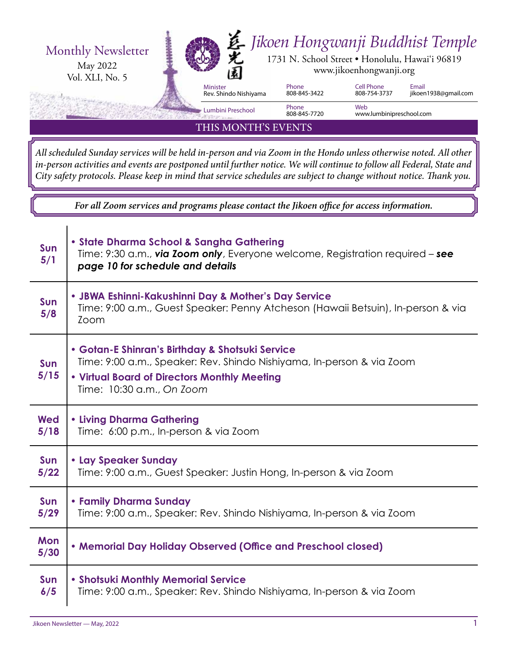

THIS MONTH'S EVENTS

*All scheduled Sunday services will be held in-person and via Zoom in the Hondo unless otherwise noted. All other in-person activities and events are postponed until further notice. We will continue to follow all Federal, State and City safety protocols. Please keep in mind that service schedules are subject to change without notice. Thank you.*

*For all Zoom services and programs please contact the Jikoen office for access information.*

| Sun<br>5/1         | • State Dharma School & Sangha Gathering<br>Time: 9:30 a.m., via Zoom only, Everyone welcome, Registration required - see<br>page 10 for schedule and details                                         |  |  |
|--------------------|-------------------------------------------------------------------------------------------------------------------------------------------------------------------------------------------------------|--|--|
| Sun<br>5/8         | • JBWA Eshinni-Kakushinni Day & Mother's Day Service<br>Time: 9:00 a.m., Guest Speaker: Penny Atcheson (Hawaii Betsuin), In-person & via<br>Zoom                                                      |  |  |
| <b>Sun</b><br>5/15 | • Gotan-E Shinran's Birthday & Shotsuki Service<br>Time: 9:00 a.m., Speaker: Rev. Shindo Nishiyama, In-person & via Zoom<br>. Virtual Board of Directors Monthly Meeting<br>Time: 10:30 a.m., On Zoom |  |  |
| <b>Wed</b>         | <b>. Living Dharma Gathering</b>                                                                                                                                                                      |  |  |
| 5/18               | Time: 6:00 p.m., In-person & via Zoom                                                                                                                                                                 |  |  |
| Sun                | • Lay Speaker Sunday                                                                                                                                                                                  |  |  |
| 5/22               | Time: 9:00 a.m., Guest Speaker: Justin Hong, In-person & via Zoom                                                                                                                                     |  |  |
| Sun                | • Family Dharma Sunday                                                                                                                                                                                |  |  |
| 5/29               | Time: 9:00 a.m., Speaker: Rev. Shindo Nishiyama, In-person & via Zoom                                                                                                                                 |  |  |
| Mon<br>5/30        | • Memorial Day Holiday Observed (Office and Preschool closed)                                                                                                                                         |  |  |
| Sun                | • Shotsuki Monthly Memorial Service                                                                                                                                                                   |  |  |
| 6/5                | Time: 9:00 a.m., Speaker: Rev. Shindo Nishiyama, In-person & via Zoom                                                                                                                                 |  |  |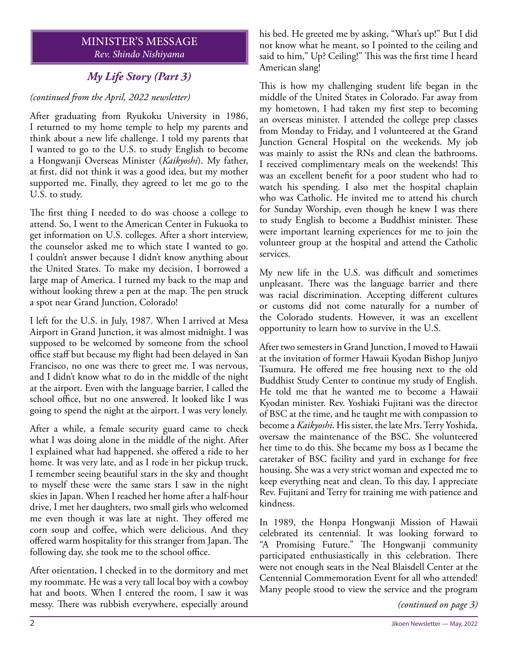# MINISTER'S MESSAGE *Rev. Shindo Nishiyama*

# *My Life Story (Part 3)*

# *(continued from the April, 2022 newsletter)*

After graduating from Ryukoku University in 1986, I returned to my home temple to help my parents and think about a new life challenge. I told my parents that I wanted to go to the U.S. to study English to become a Hongwanji Overseas Minister (*Kaikyoshi*). My father, at first, did not think it was a good idea, but my mother supported me. Finally, they agreed to let me go to the U.S. to study.

The first thing I needed to do was choose a college to attend. So, I went to the American Center in Fukuoka to get information on U.S. colleges. After a short interview, the counselor asked me to which state I wanted to go. I couldn't answer because I didn't know anything about the United States. To make my decision, I borrowed a large map of America. I turned my back to the map and without looking threw a pen at the map. The pen struck a spot near Grand Junction, Colorado!

I left for the U.S. in July, 1987. When I arrived at Mesa Airport in Grand Junction, it was almost midnight. I was supposed to be welcomed by someone from the school office staff but because my flight had been delayed in San Francisco, no one was there to greet me. I was nervous, and I didn't know what to do in the middle of the night at the airport. Even with the language barrier, I called the school office, but no one answered. It looked like I was going to spend the night at the airport. I was very lonely.

After a while, a female security guard came to check what I was doing alone in the middle of the night. After I explained what had happened, she offered a ride to her home. It was very late, and as I rode in her pickup truck, I remember seeing beautiful stars in the sky and thought to myself these were the same stars I saw in the night skies in Japan. When I reached her home after a half-hour drive, I met her daughters, two small girls who welcomed me even though it was late at night. They offered me corn soup and coffee, which were delicious. And they offered warm hospitality for this stranger from Japan. The following day, she took me to the school office.

After orientation, I checked in to the dormitory and met my roommate. He was a very tall local boy with a cowboy hat and boots. When I entered the room, I saw it was messy. There was rubbish everywhere, especially around

his bed. He greeted me by asking, "What's up!" But I did not know what he meant, so I pointed to the ceiling and said to him," Up? Ceiling!" This was the first time I heard American slang!

This is how my challenging student life began in the middle of the United States in Colorado. Far away from my hometown, I had taken my first step to becoming an overseas minister. I attended the college prep classes from Monday to Friday, and I volunteered at the Grand Junction General Hospital on the weekends. My job was mainly to assist the RNs and clean the bathrooms. I received complimentary meals on the weekends! This was an excellent benefit for a poor student who had to watch his spending. I also met the hospital chaplain who was Catholic. He invited me to attend his church for Sunday Worship, even though he knew I was there to study English to become a Buddhist minister. These were important learning experiences for me to join the volunteer group at the hospital and attend the Catholic services.

My new life in the U.S. was difficult and sometimes unpleasant. There was the language barrier and there was racial discrimination. Accepting different cultures or customs did not come naturally for a number of the Colorado students. However, it was an excellent opportunity to learn how to survive in the U.S.

After two semesters in Grand Junction, I moved to Hawaii at the invitation of former Hawaii Kyodan Bishop Junjyo Tsumura. He offered me free housing next to the old Buddhist Study Center to continue my study of English. He told me that he wanted me to become a Hawaii Kyodan minister. Rev. Yoshiaki Fujitani was the director of BSC at the time, and he taught me with compassion to become a *Kaikyoshi*. His sister, the late Mrs. Terry Yoshida, oversaw the maintenance of the BSC. She volunteered her time to do this. She became my boss as I became the caretaker of BSC facility and yard in exchange for free housing. She was a very strict woman and expected me to keep everything neat and clean. To this day, I appreciate Rev. Fujitani and Terry for training me with patience and kindness.

In 1989, the Honpa Hongwanji Mission of Hawaii celebrated its centennial. It was looking forward to "A Promising Future." The Hongwanji community participated enthusiastically in this celebration. There were not enough seats in the Neal Blaisdell Center at the Centennial Commemoration Event for all who attended! Many people stood to view the service and the program

*<sup>(</sup>continued on page 3)*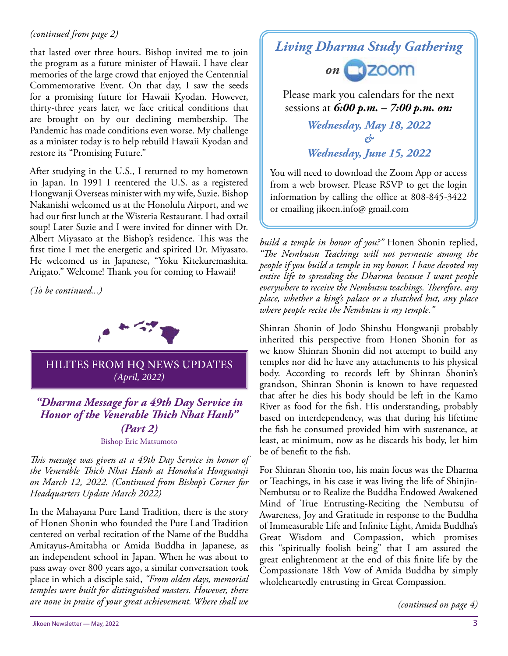# *(continued from page 2)*

that lasted over three hours. Bishop invited me to join the program as a future minister of Hawaii. I have clear memories of the large crowd that enjoyed the Centennial Commemorative Event. On that day, I saw the seeds for a promising future for Hawaii Kyodan. However, thirty-three years later, we face critical conditions that are brought on by our declining membership. The Pandemic has made conditions even worse. My challenge as a minister today is to help rebuild Hawaii Kyodan and restore its "Promising Future."

After studying in the U.S., I returned to my hometown in Japan. In 1991 I reentered the U.S. as a registered Hongwanji Overseas minister with my wife, Suzie. Bishop Nakanishi welcomed us at the Honolulu Airport, and we had our first lunch at the Wisteria Restaurant. I had oxtail soup! Later Suzie and I were invited for dinner with Dr. Albert Miyasato at the Bishop's residence. This was the first time I met the energetic and spirited Dr. Miyasato. He welcomed us in Japanese, "Yoku Kitekuremashita. Arigato." Welcome! Thank you for coming to Hawaii!

*(To be continued...)*



# HILITES FROM HQ NEWS UPDATES *(April, 2022)*

*"Dharma Message for a 49th Day Service in*  **Honor of the Venerable Thich Nhat Hanh"** *(Part 2)* Bishop Eric Matsumoto

*This message was given at a 49th Day Service in honor of the Venerable Th ich Nhat Hanh at Honoka'a Hongwanji on March 12, 2022. (Continued from Bishop's Corner for* 

In the Mahayana Pure Land Tradition, there is the story of Honen Shonin who founded the Pure Land Tradition centered on verbal recitation of the Name of the Buddha Amitayus-Amitabha or Amida Buddha in Japanese, as an independent school in Japan. When he was about to pass away over 800 years ago, a similar conversation took place in which a disciple said, *"From olden days, memorial temples were built for distinguished masters. However, there are none in praise of your great achievement. Where shall we* 

# *Living Dharma Study Gathering*



Please mark you calendars for the next sessions at *6:00 p.m. – 7:00 p.m. on:*

> *Wednesday, May 18, 2022 & Wednesday, June 15, 2022*

You will need to download the Zoom App or access from a web browser. Please RSVP to get the login information by calling the office at 808-845-3422 or emailing jikoen.info@ gmail.com

*build a temple in honor of you?"* Honen Shonin replied, *"Th e Nembutsu Teachings will not permeate among the people if you build a temple in my honor. I have devoted my entire life to spreading the Dharma because I want people*  everywhere to receive the Nembutsu teachings. Therefore, any *place, whether a king's palace or a thatched hut, any place where people recite the Nembutsu is my temple."*

Shinran Shonin of Jodo Shinshu Hongwanji probably inherited this perspective from Honen Shonin for as we know Shinran Shonin did not attempt to build any temples nor did he have any attachments to his physical body. According to records left by Shinran Shonin's grandson, Shinran Shonin is known to have requested that after he dies his body should be left in the Kamo River as food for the fish. His understanding, probably based on interdependency, was that during his lifetime the fish he consumed provided him with sustenance, at least, at minimum, now as he discards his body, let him be of benefit to the fish.

For Shinran Shonin too, his main focus was the Dharma or Teachings, in his case it was living the life of Shinjin-Nembutsu or to Realize the Buddha Endowed Awakened Mind of True Entrusting-Reciting the Nembutsu of Awareness, Joy and Gratitude in response to the Buddha of Immeasurable Life and Infinite Light, Amida Buddha's Great Wisdom and Compassion, which promises this "spiritually foolish being" that I am assured the great enlightenment at the end of this finite life by the Compassionate 18th Vow of Amida Buddha by simply wholeheartedly entrusting in Great Compassion.

*(continued on page 4)*

*Headquarters Update March 2022)*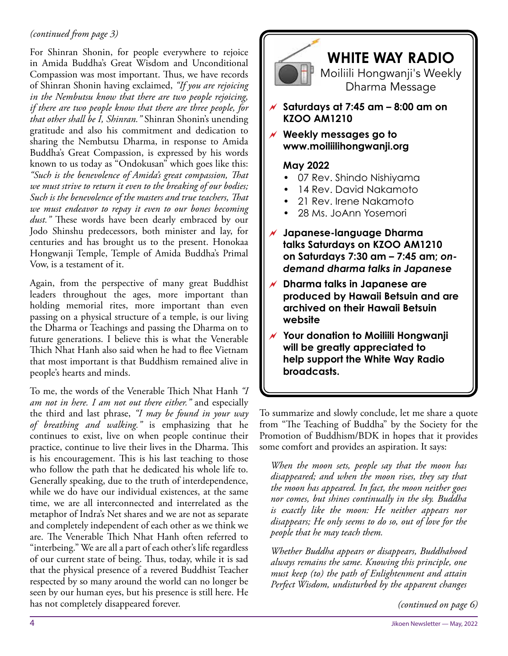# *(continued from page 3)*

For Shinran Shonin, for people everywhere to rejoice in Amida Buddha's Great Wisdom and Unconditional Compassion was most important. Thus, we have records of Shinran Shonin having exclaimed, *"If you are rejoicing in the Nembutsu know that there are two people rejoicing, if there are two people know that there are three people, for that other shall be I, Shinran."* Shinran Shonin's unending gratitude and also his commitment and dedication to sharing the Nembutsu Dharma, in response to Amida Buddha's Great Compassion, is expressed by his words known to us today as "Ondokusan" which goes like this: "Such is the benevolence of Amida's great compassion, That *we must strive to return it even to the breaking of our bodies;*  Such is the benevolence of the masters and true teachers, That *we must endeavor to repay it even to our bones becoming dust.*" These words have been dearly embraced by our Jodo Shinshu predecessors, both minister and lay, for centuries and has brought us to the present. Honokaa Hongwanji Temple, Temple of Amida Buddha's Primal Vow, is a testament of it.

Again, from the perspective of many great Buddhist leaders throughout the ages, more important than holding memorial rites, more important than even passing on a physical structure of a temple, is our living the Dharma or Teachings and passing the Dharma on to future generations. I believe this is what the Venerable Thich Nhat Hanh also said when he had to flee Vietnam that most important is that Buddhism remained alive in people's hearts and minds.

To me, the words of the Venerable Thich Nhat Hanh "I *am not in here. I am not out there either."* and especially the third and last phrase, *"I may be found in your way of breathing and walking."* is emphasizing that he continues to exist, live on when people continue their practice, continue to live their lives in the Dharma. This is his encouragement. This is his last teaching to those who follow the path that he dedicated his whole life to. Generally speaking, due to the truth of interdependence, while we do have our individual existences, at the same time, we are all interconnected and interrelated as the metaphor of Indra's Net shares and we are not as separate and completely independent of each other as we think we are. The Venerable Thich Nhat Hanh often referred to "interbeing." We are all a part of each other's life regardless of our current state of being. Thus, today, while it is sad that the physical presence of a revered Buddhist Teacher respected by so many around the world can no longer be seen by our human eyes, but his presence is still here. He has not completely disappeared forever.



To summarize and slowly conclude, let me share a quote from "The Teaching of Buddha" by the Society for the Promotion of Buddhism/BDK in hopes that it provides some comfort and provides an aspiration. It says:

*When the moon sets, people say that the moon has disappeared; and when the moon rises, they say that the moon has appeared. In fact, the moon neither goes nor comes, but shines continually in the sky. Buddha is exactly like the moon: He neither appears nor disappears; He only seems to do so, out of love for the people that he may teach them.*

*Whether Buddha appears or disappears, Buddhahood always remains the same. Knowing this principle, one must keep (to) the path of Enlightenment and attain Perfect Wisdom, undisturbed by the apparent changes* 

*(continued on page 6)*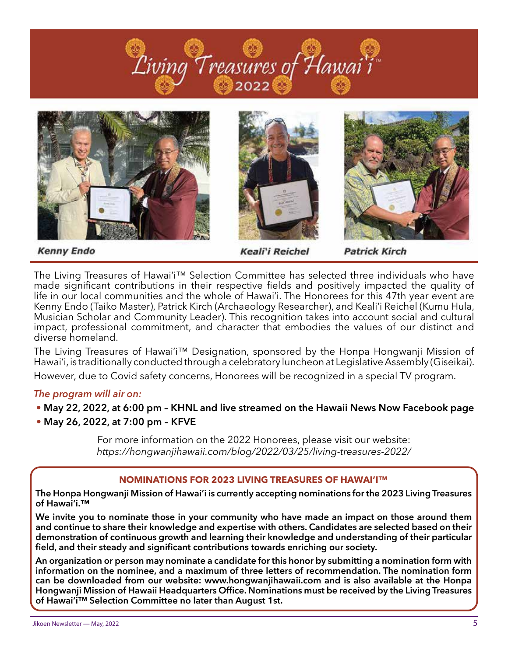







**Kenny Endo** 

Keali'i Reichel

**Patrick Kirch** 

The Living Treasures of Hawai'i™ Selection Committee has selected three individuals who have made significant contributions in their respective fields and positively impacted the quality of life in our local communities and the whole of Hawai'i. The Honorees for this 47th year event are Kenny Endo (Taiko Master), Patrick Kirch (Archaeology Researcher), and Keali'i Reichel (Kumu Hula, Musician Scholar and Community Leader). This recognition takes into account social and cultural impact, professional commitment, and character that embodies the values of our distinct and diverse homeland.

The Living Treasures of Hawai'i™ Designation, sponsored by the Honpa Hongwanji Mission of Hawai'i, is traditionally conducted through a celebratory luncheon at Legislative Assembly (Giseikai).

However, due to Covid safety concerns, Honorees will be recognized in a special TV program.

# *The program will air on:*

- **May 22, 2022, at 6:00 pm KHNL and live streamed on the Hawaii News Now Facebook page**
- **May 26, 2022, at 7:00 pm KFVE**

For more information on the 2022 Honorees, please visit our website: *https://hongwanjihawaii.com/blog/2022/03/25/living-treasures-2022/*

# **NOMINATIONS FOR 2023 LIVING TREASURES OF HAWAI'I™**

**The Honpa Hongwanji Mission of Hawai'i is currently accepting nominations for the 2023 Living Treasures of Hawai'i.™**

**We invite you to nominate those in your community who have made an impact on those around them and continue to share their knowledge and expertise with others. Candidates are selected based on their demonstration of continuous growth and learning their knowledge and understanding of their particular**  field, and their steady and significant contributions towards enriching our society.

**An organization or person may nominate a candidate for this honor by submitting a nomination form with information on the nominee, and a maximum of three letters of recommendation. The nomination form can be downloaded from our website: www.hongwanjihawaii.com and is also available at the Honpa**  Hongwanji Mission of Hawaii Headquarters Office. Nominations must be received by the Living Treasures **of Hawai'i™ Selection Committee no later than August 1st.**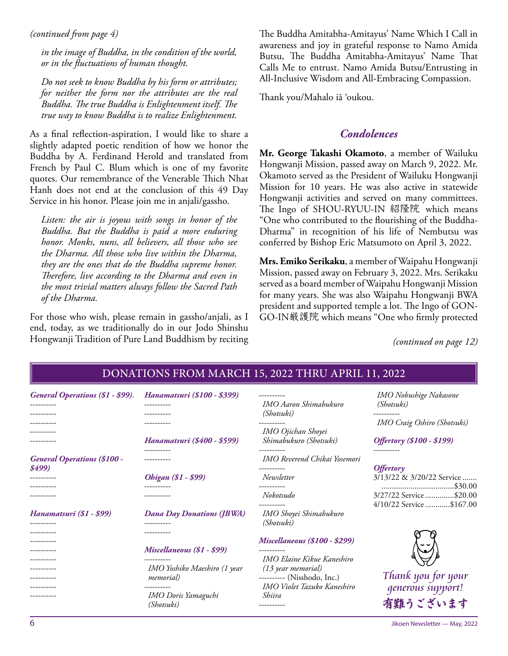*in the image of Buddha, in the condition of the world, or in the fluctuations of human thought.*

*Do not seek to know Buddha by his form or attributes; for neither the form nor the attributes are the real Buddha. The true Buddha is Enlightenment itself. The true way to know Buddha is to realize Enlightenment.*

As a final reflection-aspiration, I would like to share a slightly adapted poetic rendition of how we honor the Buddha by A. Ferdinand Herold and translated from French by Paul C. Blum which is one of my favorite quotes. Our remembrance of the Venerable Thich Nhat Hanh does not end at the conclusion of this 49 Day Service in his honor. Please join me in anjali/gassho.

*Listen: the air is joyous with songs in honor of the Buddha. But the Buddha is paid a more enduring honor. Monks, nuns, all believers, all those who see the Dharma. All those who live within the Dharma, they are the ones that do the Buddha supreme honor. Therefore, live according to the Dharma and even in the most trivial matters always follow the Sacred Path of the Dharma.*

For those who wish, please remain in gassho/anjali, as I end, today, as we traditionally do in our Jodo Shinshu Hongwanji Tradition of Pure Land Buddhism by reciting

*(continued from page 4)* The Buddha Amitabha-Amitayus' Name Which I Call in awareness and joy in grateful response to Namo Amida Butsu, The Buddha Amitabha-Amitayus' Name That Calls Me to entrust. Namo Amida Butsu/Entrusting in All-Inclusive Wisdom and All-Embracing Compassion.

Thank you/Mahalo iā 'oukou.

# *Condolences*

**Mr. George Takashi Okamoto**, a member of Wailuku Hongwanji Mission, passed away on March 9, 2022. Mr. Okamoto served as the President of Wailuku Hongwanji Mission for 10 years. He was also active in statewide Hongwanji activities and served on many committees. The Ingo of SHOU-RYUU-IN 紹隆院 which means "One who contributed to the flourishing of the Buddha-Dharma" in recognition of his life of Nembutsu was conferred by Bishop Eric Matsumoto on April 3, 2022.

**Mrs. Emiko Serikaku**, a member of Waipahu Hongwanji Mission, passed away on February 3, 2022. Mrs. Serikaku served as a board member of Waipahu Hongwanji Mission for many years. She was also Waipahu Hongwanji BWA president and supported temple a lot. The Ingo of GON-GO-IN厳護院 which means "One who firmly protected

*(continued on page 12)*

| <b>General Operations (\$1 - \$99).</b><br>---------<br>-------- | Hanamatsuri (\$100 - \$399)<br>----------         | ----------<br>IMO Aaron Shimabukuro<br><i>(Shotsuki)</i>                                   | IMO Nobushige Nakasone<br><i>(Shotsuki)</i>                        |
|------------------------------------------------------------------|---------------------------------------------------|--------------------------------------------------------------------------------------------|--------------------------------------------------------------------|
|                                                                  | Hanamatsuri (\$400 - \$599)                       | ----------<br>IMO Ojichan Shoyei<br>Shimabukuro (Shotsuki)                                 | IMO Craig Oshiro (Shotsuki)<br><b>Offertory</b> (\$100 - \$199)    |
| <b>General Operations (\$100 -</b><br>\$499)                     | Ohigan (\$1 - \$99)<br>----------                 | ----------<br>IMO Reverend Chikai Yosemori<br>----------<br>Newsletter<br>---------        | ----------<br><i><b>Offertory</b></i><br>3/13/22 & 3/20/22 Service |
| ---------<br>Hanamatsuri (\$1 - \$99)<br>----------              | <b>Dana Day Donations (JBWA)</b><br>----------    | Nokotsudo<br>----------<br>IMO Shoyei Shimabukuro<br><i>(Shotsuki)</i>                     | 3/27/22 Service\$20.00<br>4/10/22 Service \$167.00                 |
|                                                                  | Miscellaneous (\$1 - \$99)                        | <b>Miscellaneous (\$100 - \$299)</b><br>----------<br>IMO Elaine Kikue Kaneshiro           |                                                                    |
|                                                                  | IMO Yoshiko Maeshiro (1 year<br><i>memorial</i> ) | (13 year memorial)<br>---------- (Nisshodo, Inc.)<br>IMO Violet Tazuko Kaneshiro<br>Shiira | Thank you for your<br>qenerous support!<br>有難うございます                |
| ---------                                                        | ----------<br>IMO Doris Yamaguchi<br>(Shotsuki)   |                                                                                            |                                                                    |

# DONATIONS FROM MARCH 15, 2022 THRU APRIL 11, 2022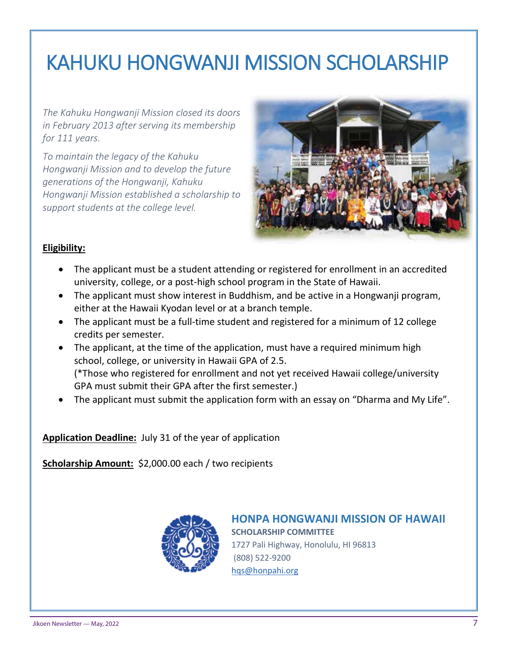# KAHUKU HONGWANJI MISSION SCHOLARSHIP

*The Kahuku Hongwanji Mission closed its doors in February 2013 after serving its membership for 111 years.* 

*To maintain the legacy of the Kahuku Hongwanji Mission and to develop the future generations of the Hongwanji, Kahuku Hongwanji Mission established a scholarship to support students at the college level.*



# **Eligibility:**

- The applicant must be a student attending or registered for enrollment in an accredited university, college, or a post-high school program in the State of Hawaii.
- The applicant must show interest in Buddhism, and be active in a Hongwanji program, either at the Hawaii Kyodan level or at a branch temple.
- The applicant must be a full-time student and registered for a minimum of 12 college credits per semester.
- The applicant, at the time of the application, must have a required minimum high school, college, or university in Hawaii GPA of 2.5. (\*Those who registered for enrollment and not yet received Hawaii college/university GPA must submit their GPA after the first semester.)
- The applicant must submit the application form with an essay on "Dharma and My Life".

**Application Deadline:** July 31 of the year of application

**Scholarship Amount:** \$2,000.00 each / two recipients



**HONPA HONGWANJI MISSION OF HAWAII SCHOLARSHIP COMMITTEE**  1727 Pali Highway, Honolulu, HI 96813 (808) 522-9200 hqs@honpahi.org

*Revised on March 28, 2022*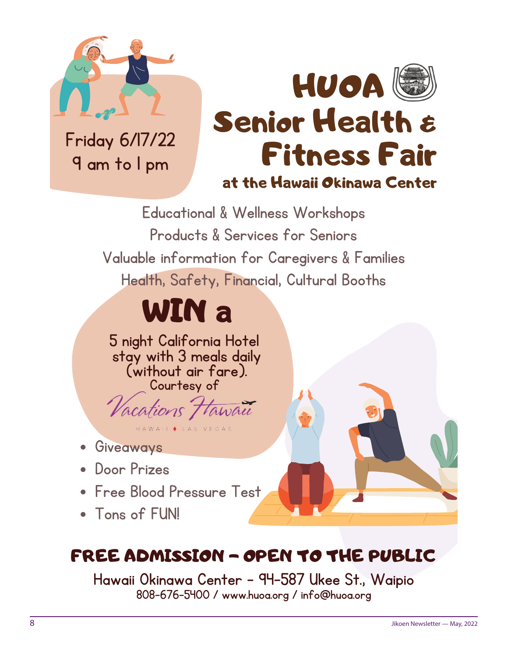

Friday 6/17/22 9 am to 1 pm



Educational & Wellness Workshops Products & Services for Seniors Valuable information for Caregivers & Families Health, Safety, Financial, Cultural Booths

# WIN a

5 night California Hotel stay with 3 meals daily (without air fare). Courtesy of

*Vacations Hawau* HAWAII . LAS VEGAS

- **Giveaways**
- Door Prizes
- Free Blood Pressure Test
- Tons of FUN!

# FREE ADMISSION - OPEN TO THE PUBLIC

Hawaii Okinawa Center - 94-587 Ukee St., Waipio 808-676-5400 / www.huoa.org / info@huoa.org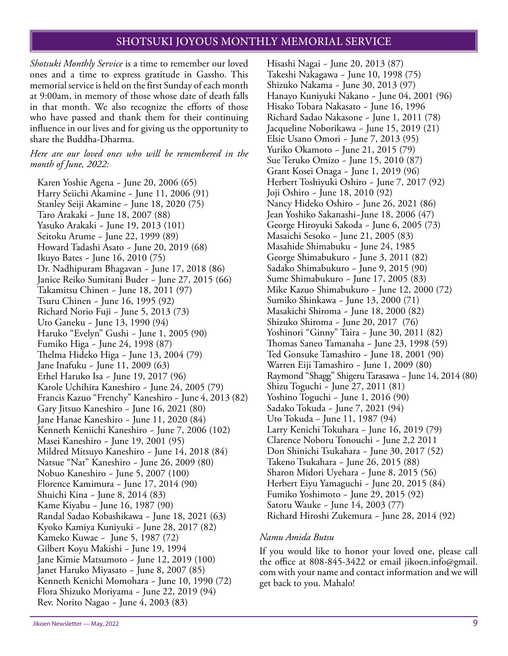# SHOTSUKI JOYOUS MONTHLY MEMORIAL SERVICE

*Shotsuki Monthly Service* is a time to remember our loved ones and a time to express gratitude in Gassho. This memorial service is held on the first Sunday of each month at 9:00am, in memory of those whose date of death falls in that month. We also recognize the efforts of those who have passed and thank them for their continuing influence in our lives and for giving us the opportunity to share the Buddha-Dharma.

#### *Here are our loved ones who will be remembered in the month of June, 2022:*

Karen Yoshie Agena ~ June 20, 2006 (65) Harry Seiichi Akamine ~ June 11, 2006 (91) Stanley Seiji Akamine ~ June 18, 2020 (75) Taro Arakaki ~ June 18, 2007 (88) Yasuko Arakaki ~ June 19, 2013 (101) Seitoku Arume ~ June 22, 1999 (89) Howard Tadashi Asato ~ June 20, 2019 (68) Ikuyo Bates ~ June 16, 2010 (75) Dr. Nadhipuram Bhagavan ~ June 17, 2018 (86) Janice Reiko Sumitani Buder ~ June 27, 2015 (66) Takamitsu Chinen ~ June 18, 2011 (97) Tsuru Chinen ~ June 16, 1995 (92) Richard Norio Fuji ~ June 5, 2013 (73) Uto Ganeku ~ June 13, 1990 (94) Haruko "Evelyn" Gushi ~ June 1, 2005 (90) Fumiko Higa ~ June 24, 1998 (87) Thelma Hideko Higa ~ June 13, 2004 (79) Jane Inafuku ~ June 11, 2009 (63) Ethel Haruko Isa ~ June 19, 2017 (96) Karole Uchihira Kaneshiro ~ June 24, 2005 (79) Francis Kazuo "Frenchy" Kaneshiro ~ June 4, 2013 (82) Gary Jitsuo Kaneshiro ~ June 16, 2021 (80) Jane Hanae Kaneshiro ~ June 11, 2020 (84) Kenneth Keniichi Kaneshiro ~ June 7, 2006 (102) Masei Kaneshiro ~ June 19, 2001 (95) Mildred Mitsuyo Kaneshiro ~ June 14, 2018 (84) Natsue "Nat" Kaneshiro ~ June 26, 2009 (80) Nobuo Kaneshiro ~ June 5, 2007 (100) Florence Kamimura ~ June 17, 2014 (90) Shuichi Kina ~ June 8, 2014 (83) Kame Kiyabu ~ June 16, 1987 (90) Randal Sadao Kobashikawa ~ June 18, 2021 (63) Kyoko Kamiya Kuniyuki ~ June 28, 2017 (82) Kameko Kuwae ~ June 5, 1987 (72) Gilbert Koyu Makishi ~ June 19, 1994 Jane Kimie Matsumoto ~ June 12, 2019 (100) Janet Haruko Miyasato ~ June 8, 2007 (85) Kenneth Kenichi Momohara ~ June 10, 1990 (72) Flora Shizuko Moriyama ~ June 22, 2019 (94) Rev. Norito Nagao ~ June 4, 2003 (83)

Hisashi Nagai ~ June 20, 2013 (87) Takeshi Nakagawa ~ June 10, 1998 (75) Shizuko Nakama ~ June 30, 2013 (97) Hanayo Kuniyuki Nakano ~ June 04, 2001 (96) Hisako Tobara Nakasato ~ June 16, 1996 Richard Sadao Nakasone ~ June 1, 2011 (78) Jacqueline Noborikawa ~ June 15, 2019 (21) Elsie Usano Omori ~ June 7, 2013 (95) Yuriko Okamoto ~ June 21, 2015 (79) Sue Teruko Omizo ~ June 15, 2010 (87) Grant Kosei Onaga ~ June 1, 2019 (96) Herbert Toshiyuki Oshiro ~ June 7, 2017 (92) Joji Oshiro ~ June 18, 2010 (92) Nancy Hideko Oshiro ~ June 26, 2021 (86) Jean Yoshiko Sakanashi~June 18, 2006 (47) George Hiroyuki Sakoda ~ June 6, 2005 (73) Masaichi Sesoko ~ June 21, 2005 (83) Masahide Shimabuku ~ June 24, 1985 George Shimabukuro ~ June 3, 2011 (82) Sadako Shimabukuro ~ June 9, 2015 (90) Sume Shimabukuro ~ June 17, 2005 (83) Mike Kazuo Shimabukuro ~ June 12, 2000 (72) Sumiko Shinkawa ~ June 13, 2000 (71) Masakichi Shiroma ~ June 18, 2000 (82) Shizuko Shiroma ~ June 20, 2017 (76) Yoshinori "Ginny" Taira ~ June 30, 2011 (82) Thomas Saneo Tamanaha ~ June 23, 1998 (59) Ted Gonsuke Tamashiro ~ June 18, 2001 (90) Warren Eiji Tamashiro ~ June 1, 2009 (80) Raymond "Shagg" Shigeru Tarasawa ~ June 14, 2014 (80) Shizu Toguchi ~ June 27, 2011 (81) Yoshino Toguchi ~ June 1, 2016 (90) Sadako Tokuda ~ June 7, 2021 (94) Uto Tokuda ~ June 11, 1987 (94) Larry Kenichi Tokuhara ~ June 16, 2019 (79) Clarence Noboru Tonouchi ~ June 2,2 2011 Don Shinichi Tsukahara ~ June 30, 2017 (52) Takeno Tsukahara ~ June 26, 2015 (88) Sharon Midori Uyehara ~ June 8, 2015 (56) Herbert Eiyu Yamaguchi ~ June 20, 2015 (84) Fumiko Yoshimoto ~ June 29, 2015 (92) Satoru Wauke ~ June 14, 2003 (77) Richard Hiroshi Zukemura ~ June 28, 2014 (92)

#### *Namu Amida Butsu*

If you would like to honor your loved one, please call the office at 808-845-3422 or email jikoen.info@gmail. com with your name and contact information and we will get back to you. Mahalo!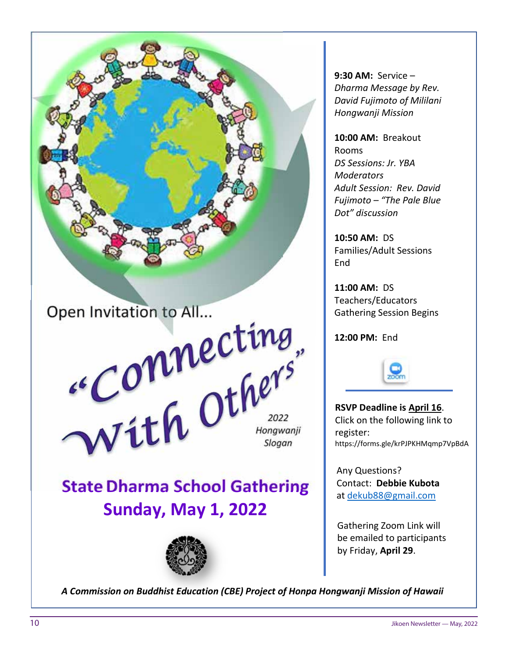

9:30 AM: Service – Dharma Message by Rev. David Fujimoto of Mililani Hongwanji Mission

10:00 AM: Breakout Rooms DS Sessions: Jr. YBA **Moderators** Adult Session: Rev. David Fujimoto – "The Pale Blue Dot" discussion

10:50 AM: DS Families/Adult Sessions **Fnd** 

11:00 AM: DS Teachers/Educators Gathering Session Begins

12:00 PM: End



RSVP Deadline is April 16. Click on the following link to register: https://forms.gle/krPJPKHMqmp7VpBdA

Any Questions? Contact: Debbie Kubota at dekub88@gmail.com

Gathering Zoom Link will be emailed to participants by Friday, April 29.

A Commission on Buddhist Education (CBE) Project of Honpa Hongwanji Mission of Hawaii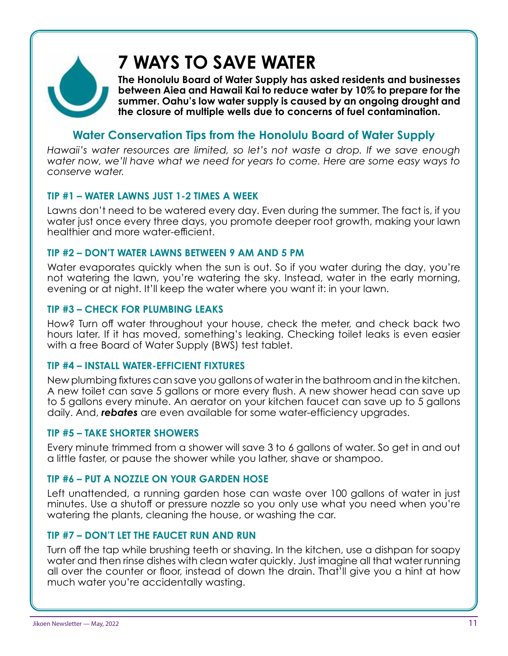

# **7 WAYS TO SAVE WATER**

**The Honolulu Board of Water Supply has asked residents and businesses between Aiea and Hawaii Kai to reduce water by 10% to prepare for the summer. Oahu's low water supply is caused by an ongoing drought and the closure of multiple wells due to concerns of fuel contamination.**

# **Water Conservation Tips from the Honolulu Board of Water Supply**

*Hawaii's water resources are limited, so let's not waste a drop. If we save enough water now, we'll have what we need for years to come. Here are some easy ways to conserve water.*

# **TIP #1 – WATER LAWNS JUST 1-2 TIMES A WEEK**

Lawns don't need to be watered every day. Even during the summer. The fact is, if you water just once every three days, you promote deeper root growth, making your lawn healthier and more water-efficient.

# **TIP #2 – DON'T WATER LAWNS BETWEEN 9 AM AND 5 PM**

Water evaporates quickly when the sun is out. So if you water during the day, you're not watering the lawn, you're watering the sky. Instead, water in the early morning, evening or at night. It'll keep the water where you want it: in your lawn.

# **TIP #3 – CHECK FOR PLUMBING LEAKS**

How? Turn off water throughout your house, check the meter, and check back two hours later. If it has moved, something's leaking. Checking toilet leaks is even easier with a free Board of Water Supply (BWS) test tablet.

# **TIP #4 – INSTALL WATER-EFFICIENT FIXTURES**

New plumbing fixtures can save you gallons of water in the bathroom and in the kitchen. A new toilet can save 5 gallons or more every flush. A new shower head can save up to 5 gallons every minute. An aerator on your kitchen faucet can save up to 5 gallons daily. And, *rebates* are even available for some water-efficiency upgrades.

# **TIP #5 – TAKE SHORTER SHOWERS**

Every minute trimmed from a shower will save 3 to 6 gallons of water. So get in and out a little faster, or pause the shower while you lather, shave or shampoo.

# **TIP #6 – PUT A NOZZLE ON YOUR GARDEN HOSE**

Left unattended, a running garden hose can waste over 100 gallons of water in just minutes. Use a shutoff or pressure nozzle so you only use what you need when you're watering the plants, cleaning the house, or washing the car.

# **TIP #7 – DON'T LET THE FAUCET RUN AND RUN**

Turn off the tap while brushing teeth or shaving. In the kitchen, use a dishpan for soapy water and then rinse dishes with clean water quickly. Just imagine all that water running all over the counter or floor, instead of down the drain. That'll give you a hint at how much water you're accidentally wasting.